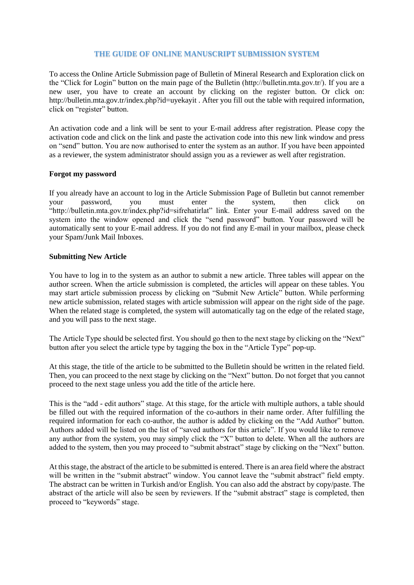## **THE GUIDE OF ONLINE MANUSCRIPT SUBMISSION SYSTEM**

To access the Online Article Submission page of Bulletin of Mineral Research and Exploration click on the "Click for Login" button on the main page of the Bulletin (http://bulletin.mta.gov.tr/). If you are a new user, you have to create an account by clicking on the register button. Or click on: http://bulletin.mta.gov.tr/index.php?id=uyekayit . After you fill out the table with required information, click on "register" button.

An activation code and a link will be sent to your E-mail address after registration. Please copy the activation code and click on the link and paste the activation code into this new link window and press on "send" button. You are now authorised to enter the system as an author. If you have been appointed as a reviewer, the system administrator should assign you as a reviewer as well after registration.

## **Forgot my password**

If you already have an account to log in the Article Submission Page of Bulletin but cannot remember your password, you must enter the system, then click on "http://bulletin.mta.gov.tr/index.php?id=sifrehatirlat" link. Enter your E-mail address saved on the system into the window opened and click the "send password" button. Your password will be automatically sent to your E-mail address. If you do not find any E-mail in your mailbox, please check your Spam/Junk Mail Inboxes.

## **Submitting New Article**

You have to log in to the system as an author to submit a new article. Three tables will appear on the author screen. When the article submission is completed, the articles will appear on these tables. You may start article submission process by clicking on "Submit New Article" button. While performing new article submission, related stages with article submission will appear on the right side of the page. When the related stage is completed, the system will automatically tag on the edge of the related stage, and you will pass to the next stage.

The Article Type should be selected first. You should go then to the next stage by clicking on the "Next" button after you select the article type by tagging the box in the "Article Type" pop-up.

At this stage, the title of the article to be submitted to the Bulletin should be written in the related field. Then, you can proceed to the next stage by clicking on the "Next" button. Do not forget that you cannot proceed to the next stage unless you add the title of the article here.

This is the "add - edit authors" stage. At this stage, for the article with multiple authors, a table should be filled out with the required information of the co-authors in their name order. After fulfilling the required information for each co-author, the author is added by clicking on the "Add Author" button. Authors added will be listed on the list of "saved authors for this article". If you would like to remove any author from the system, you may simply click the "X" button to delete. When all the authors are added to the system, then you may proceed to "submit abstract" stage by clicking on the "Next" button.

At this stage, the abstract of the article to be submitted is entered. There is an area field where the abstract will be written in the "submit abstract" window. You cannot leave the "submit abstract" field empty. The abstract can be written in Turkish and/or English. You can also add the abstract by copy/paste. The abstract of the article will also be seen by reviewers. If the "submit abstract" stage is completed, then proceed to "keywords" stage.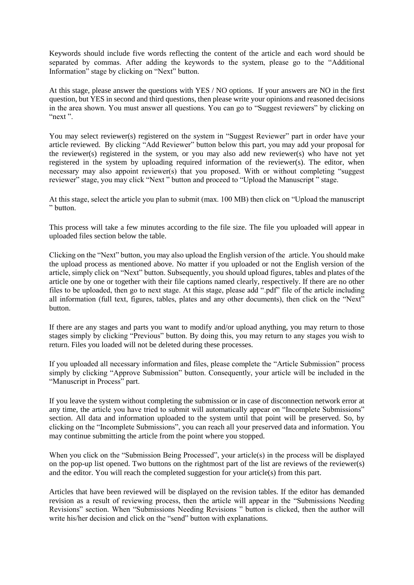Keywords should include five words reflecting the content of the article and each word should be separated by commas. After adding the keywords to the system, please go to the "Additional Information" stage by clicking on "Next" button.

At this stage, please answer the questions with YES / NO options. If your answers are NO in the first question, but YES in second and third questions, then please write your opinions and reasoned decisions in the area shown. You must answer all questions. You can go to "Suggest reviewers" by clicking on "next ".

You may select reviewer(s) registered on the system in "Suggest Reviewer" part in order have your article reviewed. By clicking "Add Reviewer" button below this part, you may add your proposal for the reviewer(s) registered in the system, or you may also add new reviewer(s) who have not yet registered in the system by uploading required information of the reviewer(s). The editor, when necessary may also appoint reviewer(s) that you proposed. With or without completing "suggest reviewer" stage, you may click "Next " button and proceed to "Upload the Manuscript " stage.

At this stage, select the article you plan to submit (max. 100 MB) then click on "Upload the manuscript " button.

This process will take a few minutes according to the file size. The file you uploaded will appear in uploaded files section below the table.

Clicking on the "Next" button, you may also upload the English version of the article. You should make the upload process as mentioned above. No matter if you uploaded or not the English version of the article, simply click on "Next" button. Subsequently, you should upload figures, tables and plates of the article one by one or together with their file captions named clearly, respectively. If there are no other files to be uploaded, then go to next stage. At this stage, please add ".pdf" file of the article including all information (full text, figures, tables, plates and any other documents), then click on the "Next" button.

If there are any stages and parts you want to modify and/or upload anything, you may return to those stages simply by clicking "Previous" button. By doing this, you may return to any stages you wish to return. Files you loaded will not be deleted during these processes.

If you uploaded all necessary information and files, please complete the "Article Submission" process simply by clicking "Approve Submission" button. Consequently, your article will be included in the "Manuscript in Process" part.

If you leave the system without completing the submission or in case of disconnection network error at any time, the article you have tried to submit will automatically appear on "Incomplete Submissions" section. All data and information uploaded to the system until that point will be preserved. So, by clicking on the "Incomplete Submissions", you can reach all your preserved data and information. You may continue submitting the article from the point where you stopped.

When you click on the "Submission Being Processed", your article(s) in the process will be displayed on the pop-up list opened. Two buttons on the rightmost part of the list are reviews of the reviewer(s) and the editor. You will reach the completed suggestion for your article(s) from this part.

Articles that have been reviewed will be displayed on the revision tables. If the editor has demanded revision as a result of reviewing process, then the article will appear in the "Submissions Needing Revisions" section. When "Submissions Needing Revisions " button is clicked, then the author will write his/her decision and click on the "send" button with explanations.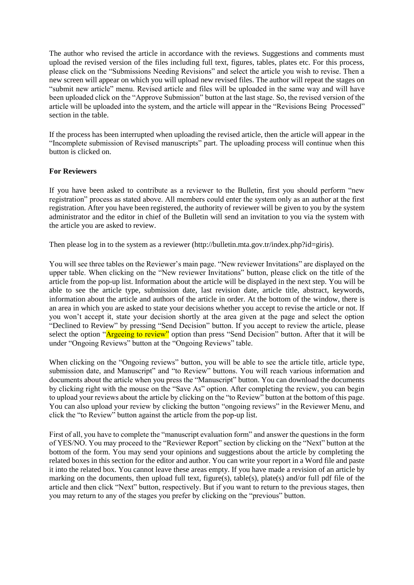The author who revised the article in accordance with the reviews. Suggestions and comments must upload the revised version of the files including full text, figures, tables, plates etc. For this process, please click on the "Submissions Needing Revisions" and select the article you wish to revise. Then a new screen will appear on which you will upload new revised files. The author will repeat the stages on "submit new article" menu. Revised article and files will be uploaded in the same way and will have been uploaded click on the "Approve Submission" button at the last stage. So, the revised version of the article will be uploaded into the system, and the article will appear in the "Revisions Being Processed" section in the table.

If the process has been interrupted when uploading the revised article, then the article will appear in the "Incomplete submission of Revised manuscripts" part. The uploading process will continue when this button is clicked on.

## **For Reviewers**

If you have been asked to contribute as a reviewer to the Bulletin, first you should perform "new registration" process as stated above. All members could enter the system only as an author at the first registration. After you have been registered, the authority of reviewer will be given to you by the system administrator and the editor in chief of the Bulletin will send an invitation to you via the system with the article you are asked to review.

Then please log in to the system as a reviewer (http://bulletin.mta.gov.tr/index.php?id=giris).

You will see three tables on the Reviewer's main page. "New reviewer Invitations" are displayed on the upper table. When clicking on the "New reviewer Invitations" button, please click on the title of the article from the pop-up list. Information about the article will be displayed in the next step. You will be able to see the article type, submission date, last revision date, article title, abstract, keywords, information about the article and authors of the article in order. At the bottom of the window, there is an area in which you are asked to state your decisions whether you accept to revise the article or not. If you won't accept it, state your decision shortly at the area given at the page and select the option "Declined to Review" by pressing "Send Decision" button. If you accept to review the article, please select the option "Argeeing to review" option than press "Send Decision" button. After that it will be under "Ongoing Reviews" button at the "Ongoing Reviews" table.

When clicking on the "Ongoing reviews" button, you will be able to see the article title, article type, submission date, and Manuscript" and "to Review" buttons. You will reach various information and documents about the article when you press the "Manuscript" button. You can download the documents by clicking right with the mouse on the "Save As" option. After completing the review, you can begin to upload your reviews about the article by clicking on the "to Review" button at the bottom of this page. You can also upload your review by clicking the button "ongoing reviews" in the Reviewer Menu, and click the "to Review" button against the article from the pop-up list.

First of all, you have to complete the "manuscript evaluation form" and answer the questions in the form of YES/NO. You may proceed to the "Reviewer Report" section by clicking on the "Next" button at the bottom of the form. You may send your opinions and suggestions about the article by completing the related boxes in this section for the editor and author. You can write your report in a Word file and paste it into the related box. You cannot leave these areas empty. If you have made a revision of an article by marking on the documents, then upload full text, figure(s), table(s), plate(s) and/or full pdf file of the article and then click "Next" button, respectively. But if you want to return to the previous stages, then you may return to any of the stages you prefer by clicking on the "previous" button.